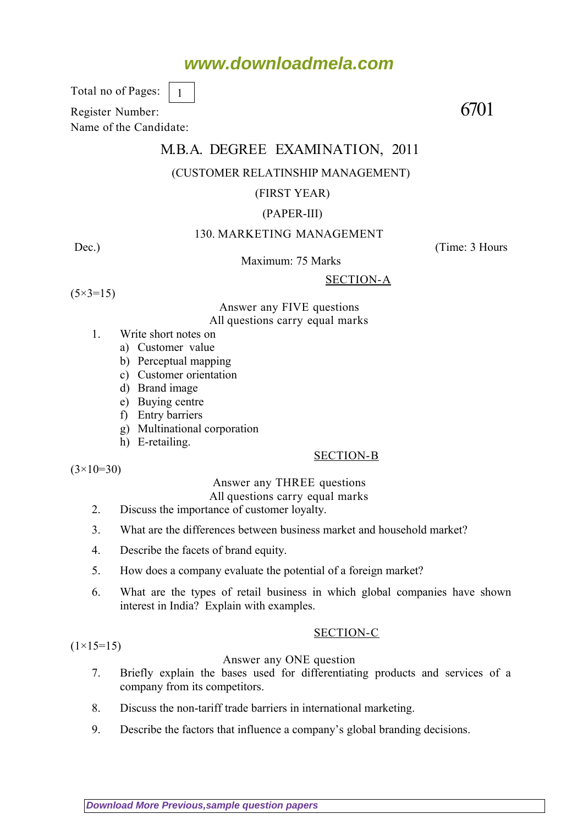# **www.downloadmela.com**

Total no of Pages:

Register Number: 6701

Name of the Candidate:

# M.B.A. DEGREE EXAMINATION, 2011

# (CUSTOMER RELATINSHIP MANAGEMENT)

#### (FIRST YEAR)

# (PAPER-III)

# 130. MARKETING MANAGEMENT

Dec.) (Time: 3 Hours

Maximum: 75 Marks

# SECTION-A

 $(5 \times 3 = 15)$ 

Answer any FIVE questions All questions carry equal marks

- 1. Write short notes on
	- a) Customer value
	- b) Perceptual mapping

1

- c) Customer orientation
- d) Brand image
- e) Buying centre
- f) Entry barriers
- g) Multinational corporation
- h) E-retailing.

# SECTION-B

 $(3\times10=30)$ 

#### Answer any THREE questions

- All questions carry equal marks
- 2. Discuss the importance of customer loyalty.
- 3. What are the differences between business market and household market?
- 4. Describe the facets of brand equity.
- 5. How does a company evaluate the potential of a foreign market?
- 6. What are the types of retail business in which global companies have shown interest in India? Explain with examples.

#### SECTION-C

 $(1\times15=15)$ 

#### Answer any ONE question

- 7. Briefly explain the bases used for differentiating products and services of a company from its competitors.
- 8. Discuss the non-tariff trade barriers in international marketing.
- 9. Describe the factors that influence a company's global branding decisions.